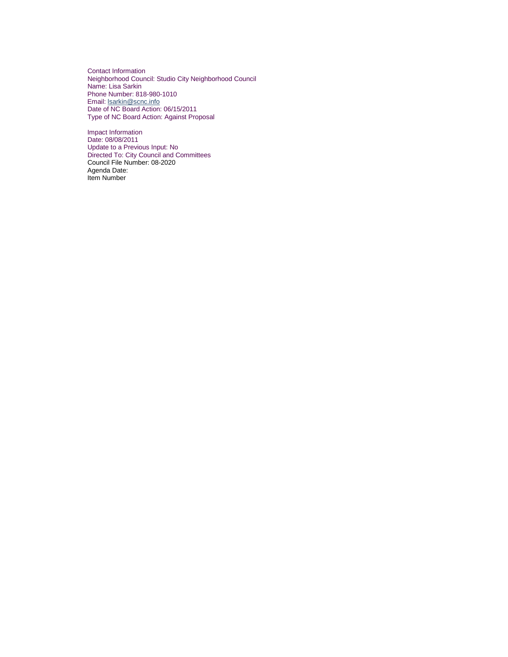Contact Information Neighborhood Council: Studio City Neighborhood Council Name: Lisa Sarkin Phone Number: 818-980-1010 Email: **Isarkin@scnc.info** Date of NC Board Action: 06/15/2011 Type of NC Board Action: Against Proposal

Impact Information Date: 08/08/2011 Update to a Previous Input: No Directed To: City Council and Committees Council File Number: 08-2020 Agenda Date: Item Number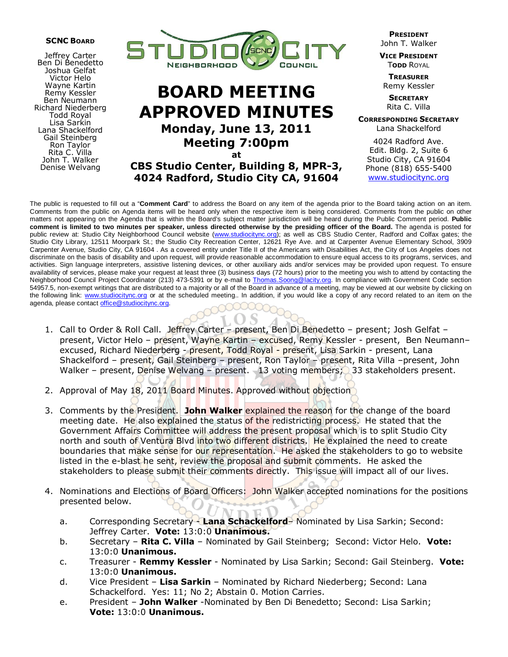

Jeffrey Carter Ben Di Benedetto Joshua Gelfat Victor Helo Wayne Kartin Remy Kessler Ben Neumann Richard Niederberg Todd Royal Lisa Sarkin Lana Shackelford Gail Steinberg Ron Taylor Rita C. Villa John T. Walker Denise Welvang



# BOARD MEETING APPROVED MINUTES Monday, June 13, 2011 Meeting 7:00pm at

CBS Studio Center, Building 8, MPR-3, 4024 Radford, Studio City CA, 91604

PRESIDENT John T. Walker

VICE PRESIDENT **TODD ROYAL** 

**TREASURER** Remy Kessler

**SECRETARY** Rita C. Villa

CORRESPONDING SECRETARY Lana Shackelford

4024 Radford Ave. Edit. Bldg. 2, Suite 6 Studio City, CA 91604 Phone (818) 655-5400 www.studiocitync.org

The public is requested to fill out a "**Comment Card**" to address the Board on any item of the agenda prior to the Board taking action on an item. Comments from the public on Agenda items will be heard only when the respective item is being considered. Comments from the public on other matters not appearing on the Agenda that is within the Board's subject matter jurisdiction will be heard during the Public Comment period. **Public comment is limited to two minutes per speaker, unless directed otherwise by the presiding officer of the Board.** The agenda is posted for public review at: Studio City Neighborhood Council website (www.studiocitync.org); as well as CBS Studio Center, Radford and Colfax gates; the Studio City Library, 12511 Moorpark St.; the Studio City Recreation Center, 12621 Rye Ave. and at Carpenter Avenue Elementary School, 3909 Carpenter Avenue, Studio City, CA 91604 . As a covered entity under Title II of the Americans with Disabilities Act, the City of Los Angeles does not discriminate on the basis of disability and upon request, will provide reasonable accommodation to ensure equal access to its programs, services, and activities. Sign language interpreters, assistive listening devices, or other auxiliary aids and/or services may be provided upon request. To ensure availability of services, please make your request at least three (3) business days (72 hours) prior to the meeting you wish to attend by contacting the Neighborhood Council Project Coordinator (213) 473-5391 or by e-mail to Thomas.Soong@lacity.org. In compliance with Government Code section 54957.5, non-exempt writings that are distributed to a majority or all of the Board in advance of a meeting, may be viewed at our website by clicking on the following link: www.studiocitync.org or at the scheduled meeting.. In addition, if you would like a copy of any record related to an item on the agenda, please contact office@studiocitync.org.

- 1. Call to Order & Roll Call. Jeffrey Carter present, Ben Di Benedetto present; Josh Gelfat present, Victor Helo – present, Wayne Kartin – excused, Remy Kessler - present, Ben Neumann– excused, Richard Niederberg - present, Todd Royal - present, Lisa Sarkin - present, Lana Shackelford – present, Gail Steinberg – present, Ron Taylor – present, Rita Villa – present, John Walker – present, Denise Welvang – present. 13 voting members; 33 stakeholders present.
- 2. Approval of May 18, 2011 Board Minutes. Approved without objection
- 3. Comments by the President. John Walker explained the reason for the change of the board meeting date. He also explained the status of the redistricting process. He stated that the Government Affairs Committee will address the present proposal which is to split Studio City north and south of Ventura Blvd into two different districts. He explained the need to create boundaries that make sense for our representation. He asked the stakeholders to go to website listed in the e-blast he sent, review the proposal and submit comments. He asked the stakeholders to please submit their comments directly. This issue will impact all of our lives.
- 4. Nominations and Elections of Board Officers: John Walker accepted nominations for the positions presented below.
	- a. Corresponding Secretary Lana Schackelford- Nominated by Lisa Sarkin; Second: Jeffrey Carter. Vote: 13:0:0 Unanimous.
	- b. Secretary Rita C. Villa Nominated by Gail Steinberg; Second: Victor Helo. Vote: 13:0:0 Unanimous.
	- c. Treasurer Remmy Kessler Nominated by Lisa Sarkin; Second: Gail Steinberg. Vote: 13:0:0 Unanimous.
	- d. Vice President Lisa Sarkin Nominated by Richard Niederberg; Second: Lana Schackelford. Yes: 11; No 2; Abstain 0. Motion Carries.
	- e. President John Walker -Nominated by Ben Di Benedetto; Second: Lisa Sarkin; Vote: 13:0:0 Unanimous.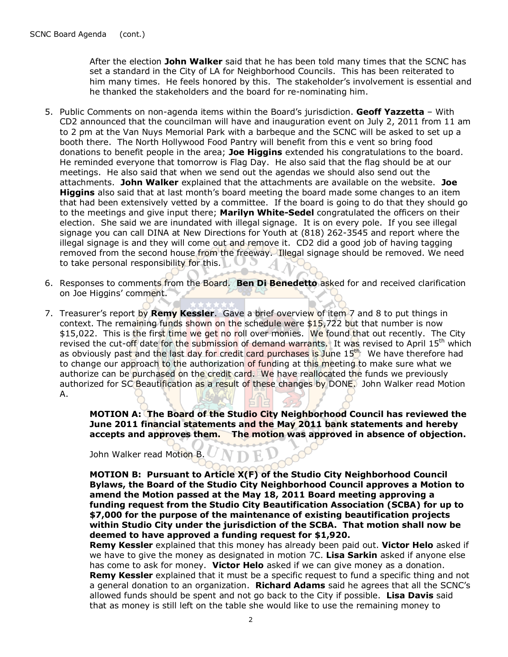After the election John Walker said that he has been told many times that the SCNC has set a standard in the City of LA for Neighborhood Councils. This has been reiterated to him many times. He feels honored by this. The stakeholder's involvement is essential and he thanked the stakeholders and the board for re-nominating him.

- 5. Public Comments on non-agenda items within the Board's jurisdiction. Geoff Yazzetta With CD2 announced that the councilman will have and inauguration event on July 2, 2011 from 11 am to 2 pm at the Van Nuys Memorial Park with a barbeque and the SCNC will be asked to set up a booth there. The North Hollywood Food Pantry will benefit from this e vent so bring food donations to benefit people in the area; Joe Higgins extended his congratulations to the board. He reminded everyone that tomorrow is Flag Day. He also said that the flag should be at our meetings. He also said that when we send out the agendas we should also send out the attachments. John Walker explained that the attachments are available on the website. Joe **Higgins** also said that at last month's board meeting the board made some changes to an item that had been extensively vetted by a committee. If the board is going to do that they should go to the meetings and give input there; **Marilyn White-Sedel** congratulated the officers on their election. She said we are inundated with illegal signage. It is on every pole. If you see illegal signage you can call DINA at New Directions for Youth at (818) 262-3545 and report where the illegal signage is and they will come out and remove it. CD2 did a good job of having tagging removed from the second house from the freeway. Illegal signage should be removed. We need to take personal responsibility for this.
- 6. Responses to comments from the Board. Ben Di Benedetto asked for and received clarification on Joe Higgins' comment.
- 7. Treasurer's report by Remy Kessler. Gave a brief overview of item 7 and 8 to put things in context. The remaining funds shown on the schedule were \$15,722 but that number is now \$15,022. This is the first time we get no roll over monies. We found that out recently. The City revised the cut-off date for the submission of demand warrants. It was revised to April 15<sup>th</sup> which as obviously past and the last day for credit card purchases is June 15<sup>th.</sup> We have therefore had to change our approach to the authorization of funding at this meeting to make sure what we authorize can be purchased on the credit card. We have reallocated the funds we previously authorized for SC Beautification as a result of these changes by DONE. John Walker read Motion A.

MOTION A: The Board of the Studio City Neighborhood Council has reviewed the June 2011 financial statements and the May 2011 bank statements and hereby accepts and approves them. The motion was approved in absence of objection.

John Walker read Motion B.

MOTION B: Pursuant to Article X(F) of the Studio City Neighborhood Council Bylaws, the Board of the Studio City Neighborhood Council approves a Motion to amend the Motion passed at the May 18, 2011 Board meeting approving a funding request from the Studio City Beautification Association (SCBA) for up to \$7,000 for the purpose of the maintenance of existing beautification projects within Studio City under the jurisdiction of the SCBA. That motion shall now be deemed to have approved a funding request for \$1,920.

**Remy Kessler** explained that this money has already been paid out. Victor Helo asked if we have to give the money as designated in motion 7C. Lisa Sarkin asked if anyone else has come to ask for money. Victor Helo asked if we can give money as a donation. **Remy Kessler** explained that it must be a specific request to fund a specific thing and not a general donation to an organization. Richard Adams said he agrees that all the SCNC's allowed funds should be spent and not go back to the City if possible. Lisa Davis said that as money is still left on the table she would like to use the remaining money to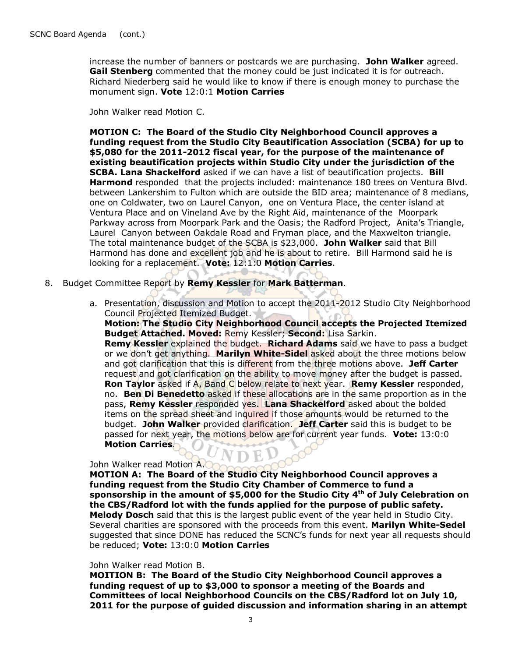increase the number of banners or postcards we are purchasing. John Walker agreed. Gail Stenberg commented that the money could be just indicated it is for outreach. Richard Niederberg said he would like to know if there is enough money to purchase the monument sign. Vote 12:0:1 Motion Carries

John Walker read Motion C.

MOTION C: The Board of the Studio City Neighborhood Council approves a funding request from the Studio City Beautification Association (SCBA) for up to \$5,080 for the 2011-2012 fiscal year, for the purpose of the maintenance of existing beautification projects within Studio City under the jurisdiction of the **SCBA. Lana Shackelford** asked if we can have a list of beautification projects. Bill Harmond responded that the projects included: maintenance 180 trees on Ventura Blvd. between Lankershim to Fulton which are outside the BID area; maintenance of 8 medians, one on Coldwater, two on Laurel Canyon, one on Ventura Place, the center island at Ventura Place and on Vineland Ave by the Right Aid, maintenance of the Moorpark Parkway across from Moorpark Park and the Oasis; the Radford Project, Anita's Triangle, Laurel Canyon between Oakdale Road and Fryman place, and the Maxwelton triangle. The total maintenance budget of the SCBA is \$23,000. John Walker said that Bill Harmond has done and excellent job and he is about to retire. Bill Harmond said he is looking for a replacement. Vote: 12:1:0 Motion Carries.

- 8. Budget Committee Report by Remy Kessler for Mark Batterman.
	- a. Presentation, discussion and Motion to accept the 2011-2012 Studio City Neighborhood Council Projected Itemized Budget.

Motion: The Studio City Neighborhood Council accepts the Projected Itemized Budget Attached. Moved: Remy Kessler; Second: Lisa Sarkin. **Remy Kessler** explained the budget. **Richard Adams** said we have to pass a budget or we don't get anything. Marilyn White-Sidel asked about the three motions below and got clarification that this is different from the three motions above. Jeff Carter request and got clarification on the ability to move money after the budget is passed. Ron Taylor asked if A, Band C below relate to next year. Remy Kessler responded, no. **Ben Di Benedetto** asked if these allocations are in the same proportion as in the pass, Remy Kessler responded yes. Lana Shackelford asked about the bolded items on the spread sheet and inquired if those amounts would be returned to the budget. John Walker provided clarification. Jeff Carter said this is budget to be passed for next year, the motions below are for current year funds. Vote: 13:0:0 Motion Carries.

### John Walker read Motion A.

MOTION A: The Board of the Studio City Neighborhood Council approves a funding request from the Studio City Chamber of Commerce to fund a sponsorship in the amount of \$5,000 for the Studio City  $4<sup>th</sup>$  of July Celebration on the CBS/Radford lot with the funds applied for the purpose of public safety. Melody Dosch said that this is the largest public event of the year held in Studio City. Several charities are sponsored with the proceeds from this event. Marilyn White-Sedel suggested that since DONE has reduced the SCNC's funds for next year all requests should be reduced; Vote: 13:0:0 Motion Carries

#### John Walker read Motion B.

MOITION B: The Board of the Studio City Neighborhood Council approves a funding request of up to \$3,000 to sponsor a meeting of the Boards and Committees of local Neighborhood Councils on the CBS/Radford lot on July 10, 2011 for the purpose of guided discussion and information sharing in an attempt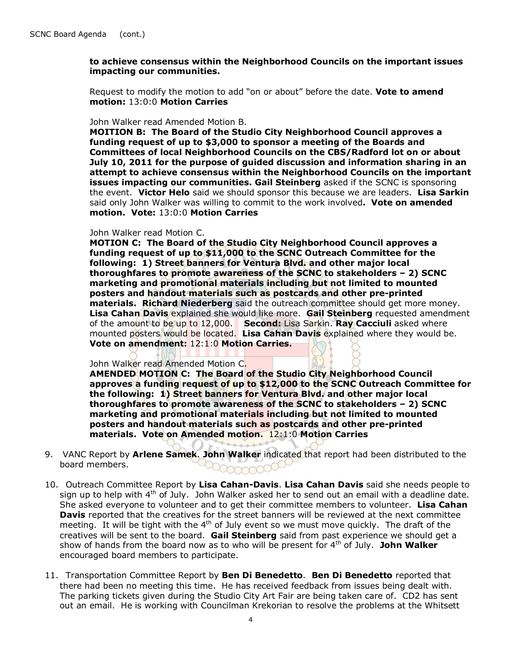### to achieve consensus within the Neighborhood Councils on the important issues impacting our communities.

Request to modify the motion to add "on or about" before the date. Vote to amend motion: 13:0:0 Motion Carries

#### John Walker read Amended Motion B.

MOITION B: The Board of the Studio City Neighborhood Council approves a funding request of up to \$3,000 to sponsor a meeting of the Boards and Committees of local Neighborhood Councils on the CBS/Radford lot on or about July 10, 2011 for the purpose of guided discussion and information sharing in an attempt to achieve consensus within the Neighborhood Councils on the important issues impacting our communities. Gail Steinberg asked if the SCNC is sponsoring the event. Victor Helo said we should sponsor this because we are leaders. Lisa Sarkin said only John Walker was willing to commit to the work involved. Vote on amended motion. Vote: 13:0:0 Motion Carries

#### John Walker read Motion C.

MOTION C: The Board of the Studio City Neighborhood Council approves a funding request of up to \$11,000 to the SCNC Outreach Committee for the following: 1) Street banners for Ventura Blvd. and other major local thoroughfares to promote awareness of the SCNC to stakeholders – 2) SCNC marketing and promotional materials including but not limited to mounted posters and handout materials such as postcards and other pre-printed **materials. Richard Niederberg** said the outreach committee should get more money. Lisa Cahan Davis explained she would like more. Gail Steinberg requested amendment of the amount to be up to  $12,000$ . Second: Lisa Sarkin. Ray Cacciuli asked where mounted posters would be located. Lisa Cahan Davis explained where they would be. Vote on amendment: 12:1:0 Motion Carries.

#### John Walker read Amended Motion C.

AMENDED MOTION C: The Board of the Studio City Neighborhood Council approves a funding request of up to \$12,000 to the SCNC Outreach Committee for the following: 1) Street banners for Ventura Blvd. and other major local thoroughfares to promote awareness of the SCNC to stakeholders – 2) SCNC marketing and promotional materials including but not limited to mounted posters and handout materials such as postcards and other pre-printed materials. Vote on Amended motion. 12:1:0 Motion Carries

- 9. VANC Report by Arlene Samek. John Walker indicated that report had been distributed to the board members.
- 10. Outreach Committee Report by Lisa Cahan-Davis. Lisa Cahan Davis said she needs people to sign up to help with  $4<sup>th</sup>$  of July. John Walker asked her to send out an email with a deadline date. She asked everyone to volunteer and to get their committee members to volunteer. Lisa Cahan **Davis** reported that the creatives for the street banners will be reviewed at the next committee meeting. It will be tight with the  $4<sup>th</sup>$  of July event so we must move quickly. The draft of the creatives will be sent to the board. Gail Steinberg said from past experience we should get a show of hands from the board now as to who will be present for  $4<sup>th</sup>$  of July. John Walker encouraged board members to participate.
- 11. Transportation Committee Report by Ben Di Benedetto. Ben Di Benedetto reported that there had been no meeting this time. He has received feedback from issues being dealt with. The parking tickets given during the Studio City Art Fair are being taken care of. CD2 has sent out an email. He is working with Councilman Krekorian to resolve the problems at the Whitsett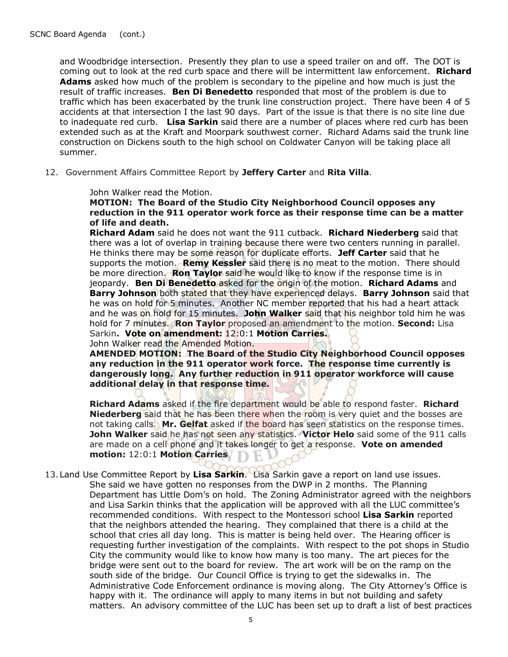and Woodbridge intersection. Presently they plan to use a speed trailer on and off. The DOT is coming out to look at the red curb space and there will be intermittent law enforcement. **Richard** Adams asked how much of the problem is secondary to the pipeline and how much is just the result of traffic increases. **Ben Di Benedetto** responded that most of the problem is due to traffic which has been exacerbated by the trunk line construction project. There have been 4 of 5 accidents at that intersection I the last 90 days. Part of the issue is that there is no site line due to inadequate red curb. Lisa Sarkin said there are a number of places where red curb has been extended such as at the Kraft and Moorpark southwest corner. Richard Adams said the trunk line construction on Dickens south to the high school on Coldwater Canyon will be taking place all summer.

12. Government Affairs Committee Report by Jeffery Carter and Rita Villa.

John Walker read the Motion.

MOTION: The Board of the Studio City Neighborhood Council opposes any reduction in the 911 operator work force as their response time can be a matter of life and death.

Richard Adam said he does not want the 911 cutback. Richard Niederberg said that there was a lot of overlap in training because there were two centers running in parallel. He thinks there may be some reason for duplicate efforts. Jeff Carter said that he supports the motion. Remy Kessler said there is no meat to the motion. There should be more direction. **Ron Taylor** said he would like to know if the response time is in jeopardy. Ben Di Benedetto asked for the origin of the motion. Richard Adams and **Barry Johnson** both stated that they have experienced delays. **Barry Johnson** said that he was on hold for 5 minutes. Another NC member reported that his had a heart attack and he was on hold for 15 minutes. John Walker said that his neighbor told him he was hold for 7 minutes. **Ron Taylor** proposed an amendment to the motion. **Second:** Lisa Sarkin. Vote on amendment: 12:0:1 Motion Carries. John Walker read the Amended Motion.

AMENDED MOTION: The Board of the Studio City Neighborhood Council opposes any reduction in the 911 operator work force. The response time currently is dangerously long. Any further reduction in 911 operator workforce will cause additional delay in that response time.

Richard Adams asked if the fire department would be able to respond faster. Richard **Niederberg** said that he has been there when the room is very quiet and the bosses are not taking calls. Mr. Gelfat asked if the board has seen statistics on the response times. **John Walker** said he has not seen any statistics. Victor Helo said some of the 911 calls are made on a cell phone and it takes longer to get a response. Vote on amended motion: 12:0:1 Motion Carries

13. Land Use Committee Report by Lisa Sarkin. Lisa Sarkin gave a report on land use issues. She said we have gotten no responses from the DWP in 2 months. The Planning Department has Little Dom's on hold. The Zoning Administrator agreed with the neighbors and Lisa Sarkin thinks that the application will be approved with all the LUC committee's recommended conditions. With respect to the Montessori school Lisa Sarkin reported that the neighbors attended the hearing. They complained that there is a child at the school that cries all day long. This is matter is being held over. The Hearing officer is requesting further investigation of the complaints. With respect to the pot shops in Studio City the community would like to know how many is too many. The art pieces for the bridge were sent out to the board for review. The art work will be on the ramp on the south side of the bridge. Our Council Office is trying to get the sidewalks in. The Administrative Code Enforcement ordinance is moving along. The City Attorney's Office is happy with it. The ordinance will apply to many items in but not building and safety matters. An advisory committee of the LUC has been set up to draft a list of best practices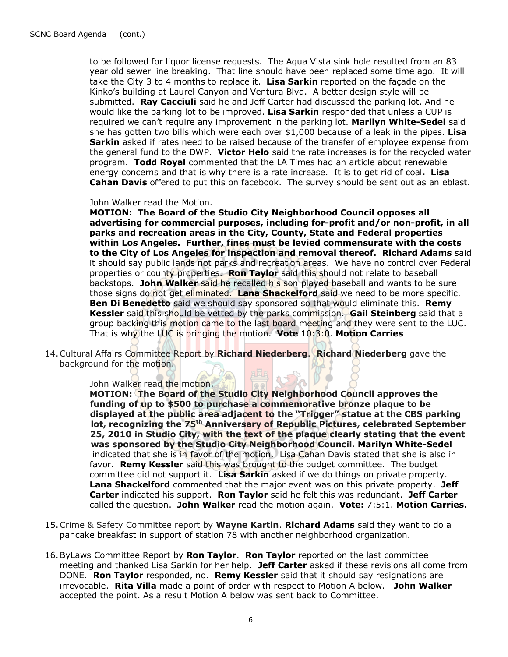to be followed for liquor license requests. The Aqua Vista sink hole resulted from an 83 year old sewer line breaking. That line should have been replaced some time ago. It will take the City 3 to 4 months to replace it. Lisa Sarkin reported on the façade on the Kinko's building at Laurel Canyon and Ventura Blvd. A better design style will be submitted. Ray Cacciuli said he and Jeff Carter had discussed the parking lot. And he would like the parking lot to be improved. Lisa Sarkin responded that unless a CUP is required we can't require any improvement in the parking lot. Marilyn White-Sedel said she has gotten two bills which were each over  $$1,000$  because of a leak in the pipes. Lisa **Sarkin** asked if rates need to be raised because of the transfer of employee expense from the general fund to the DWP. Victor Helo said the rate increases is for the recycled water program. Todd Royal commented that the LA Times had an article about renewable energy concerns and that is why there is a rate increase. It is to get rid of coal. Lisa Cahan Davis offered to put this on facebook. The survey should be sent out as an eblast.

#### John Walker read the Motion.

MOTION: The Board of the Studio City Neighborhood Council opposes all advertising for commercial purposes, including for-profit and/or non-profit, in all parks and recreation areas in the City, County, State and Federal properties within Los Angeles. Further, fines must be levied commensurate with the costs to the City of Los Angeles for inspection and removal thereof. Richard Adams said it should say public lands not parks and recreation areas. We have no control over Federal properties or county properties. Ron Taylor said this should not relate to baseball backstops. John Walker said he recalled his son played baseball and wants to be sure those signs do not get eliminated. Lana Shackelford said we need to be more specific. **Ben Di Benedetto** said we should say sponsored so that would eliminate this. Remy Kessler said this should be vetted by the parks commission. Gail Steinberg said that a group backing this motion came to the last board meeting and they were sent to the LUC. That is why the LUC is bringing the motion. Vote 10:3:0. Motion Carries

14. Cultural Affairs Committee Report by Richard Niederberg. Richard Niederberg gave the background for the motion.

## John Walker read the motion.

 MOTION: The Board of the Studio City Neighborhood Council approves the funding of up to \$500 to purchase a commemorative bronze plaque to be displayed at the public area adjacent to the "Trigger" statue at the CBS parking lot, recognizing the 75<sup>th</sup> Anniversary of Republic Pictures, celebrated September 25, 2010 in Studio City, with the text of the plaque clearly stating that the event was sponsored by the Studio City Neighborhood Council. Marilyn White-Sedel indicated that she is in favor of the motion. Lisa Cahan Davis stated that she is also in favor. Remy Kessler said this was brought to the budget committee. The budget committee did not support it. Lisa Sarkin asked if we do things on private property. Lana Shackelford commented that the major event was on this private property. Jeff Carter indicated his support. Ron Taylor said he felt this was redundant. Jeff Carter called the question. John Walker read the motion again. Vote:  $7:5:1$ . Motion Carries.

- 15. Crime & Safety Committee report by Wayne Kartin. Richard Adams said they want to do a pancake breakfast in support of station 78 with another neighborhood organization.
- 16. ByLaws Committee Report by Ron Taylor. Ron Taylor reported on the last committee meeting and thanked Lisa Sarkin for her help. Jeff Carter asked if these revisions all come from DONE. **Ron Taylor** responded, no. **Remy Kessler** said that it should say resignations are irrevocable. Rita Villa made a point of order with respect to Motion A below. John Walker accepted the point. As a result Motion A below was sent back to Committee.